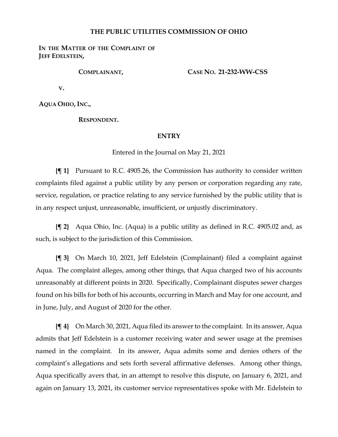## **THE PUBLIC UTILITIES COMMISSION OF OHIO**

IN THE MATTER OF THE COMPLAINT OF **JEFF EDELSTEIN,**

**COMPLAINANT,**

**CASE NO. 21-232-WW-CSS**

**V.**

**AQUA OHIO, INC.,**

**RESPONDENT.**

## **ENTRY**

Entered in the Journal on May 21, 2021

**{¶ 1}** Pursuant to R.C. 4905.26, the Commission has authority to consider written complaints filed against a public utility by any person or corporation regarding any rate, service, regulation, or practice relating to any service furnished by the public utility that is in any respect unjust, unreasonable, insufficient, or unjustly discriminatory.

**{¶ 2}** Aqua Ohio, Inc. (Aqua) is a public utility as defined in R.C. 4905.02 and, as such, is subject to the jurisdiction of this Commission.

**{¶ 3}** On March 10, 2021, Jeff Edelstein (Complainant) filed a complaint against Aqua. The complaint alleges, among other things, that Aqua charged two of his accounts unreasonably at different points in 2020. Specifically, Complainant disputes sewer charges found on his bills for both of his accounts, occurring in March and May for one account, and in June, July, and August of 2020 for the other.

**{¶ 4}** On March 30, 2021, Aqua filed its answer to the complaint. In its answer, Aqua admits that Jeff Edelstein is a customer receiving water and sewer usage at the premises named in the complaint. In its answer, Aqua admits some and denies others of the complaint's allegations and sets forth several affirmative defenses. Among other things, Aqua specifically avers that, in an attempt to resolve this dispute, on January 6, 2021, and again on January 13, 2021, its customer service representatives spoke with Mr. Edelstein to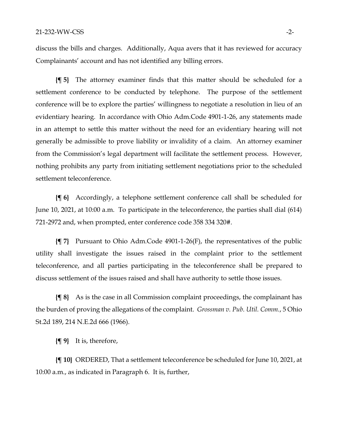discuss the bills and charges. Additionally, Aqua avers that it has reviewed for accuracy Complainants' account and has not identified any billing errors.

**{¶ 5}** The attorney examiner finds that this matter should be scheduled for a settlement conference to be conducted by telephone. The purpose of the settlement conference will be to explore the parties' willingness to negotiate a resolution in lieu of an evidentiary hearing. In accordance with Ohio Adm.Code 4901-1-26, any statements made in an attempt to settle this matter without the need for an evidentiary hearing will not generally be admissible to prove liability or invalidity of a claim. An attorney examiner from the Commission's legal department will facilitate the settlement process. However, nothing prohibits any party from initiating settlement negotiations prior to the scheduled settlement teleconference.

**{¶ 6}** Accordingly, a telephone settlement conference call shall be scheduled for June 10, 2021, at 10:00 a.m. To participate in the teleconference, the parties shall dial (614) 721-2972 and, when prompted, enter conference code 358 334 320#.

**{¶ 7}** Pursuant to Ohio Adm.Code 4901-1-26(F), the representatives of the public utility shall investigate the issues raised in the complaint prior to the settlement teleconference, and all parties participating in the teleconference shall be prepared to discuss settlement of the issues raised and shall have authority to settle those issues.

**{¶ 8}** As is the case in all Commission complaint proceedings, the complainant has the burden of proving the allegations of the complaint. *Grossman v. Pub. Util. Comm.*, 5 Ohio St.2d 189, 214 N.E.2d 666 (1966).

**{¶ 9}** It is, therefore,

**{¶ 10}** ORDERED, That a settlement teleconference be scheduled for June 10, 2021, at 10:00 a.m., as indicated in Paragraph 6. It is, further,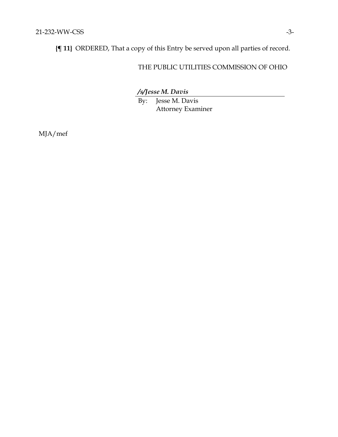**{¶ 11}** ORDERED, That a copy of this Entry be served upon all parties of record.

## THE PUBLIC UTILITIES COMMISSION OF OHIO

*/s/Jesse M. Davis*

By: Jesse M. Davis Attorney Examiner

MJA/mef